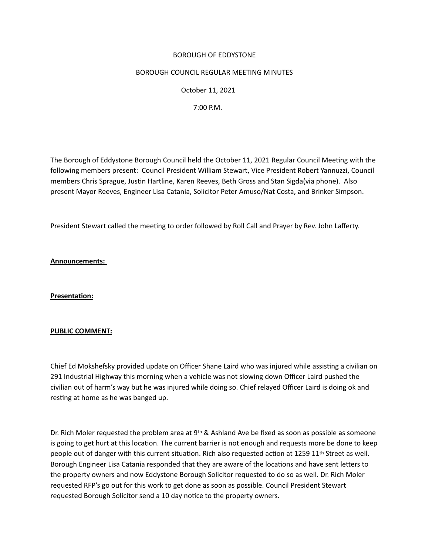### BOROUGH OF EDDYSTONE

#### BOROUGH COUNCIL REGULAR MEETING MINUTES

 October 11, 2021

 7:00 P.M.

The Borough of Eddystone Borough Council held the October 11, 2021 Regular Council Meetng with the following members present: Council President William Stewart, Vice President Robert Yannuzzi, Council members Chris Sprague, Justin Hartline, Karen Reeves, Beth Gross and Stan Sigda(via phone). Also present Mayor Reeves, Engineer Lisa Catania, Solicitor Peter Amuso/Nat Costa, and Brinker Simpson. 

President Stewart called the meeting to order followed by Roll Call and Prayer by Rev. John Lafferty.

**Announcements:**

**Presentaton:** 

# **PUBLIC COMMENT:**

Chief Ed Mokshefsky provided update on Officer Shane Laird who was injured while assistng a civilian on 291 Industrial Highway this morning when a vehicle was not slowing down Officer Laird pushed the civilian out of harm's way but he was injured while doing so. Chief relayed Officer Laird is doing ok and restng at home as he was banged up.

Dr. Rich Moler requested the problem area at  $9<sup>th</sup>$  & Ashland Ave be fixed as soon as possible as someone is going to get hurt at this location. The current barrier is not enough and requests more be done to keep people out of danger with this current situation. Rich also requested action at 1259 11<sup>th</sup> Street as well. Borough Engineer Lisa Catania responded that they are aware of the locations and have sent letters to the property owners and now Eddystone Borough Solicitor requested to do so as well. Dr. Rich Moler requested RFP's go out for this work to get done as soon as possible. Council President Stewart requested Borough Solicitor send a 10 day notice to the property owners.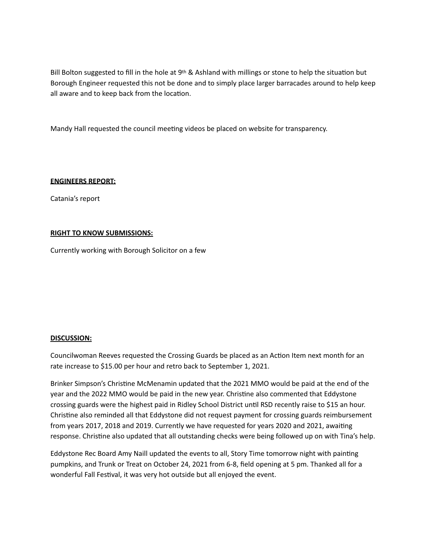Bill Bolton suggested to fill in the hole at 9<sup>th</sup> & Ashland with millings or stone to help the situation but Borough Engineer requested this not be done and to simply place larger barracades around to help keep all aware and to keep back from the location.

Mandy Hall requested the council meetng videos be placed on website for transparency.

### **ENGINEERS REPORT:**

Catania's report

### **RIGHT TO KNOW SUBMISSIONS:**

Currently working with Borough Solicitor on a few

#### **DISCUSSION:**

Councilwoman Reeves requested the Crossing Guards be placed as an Acton Item next month for an rate increase to \$15.00 per hour and retro back to September 1, 2021. 

Brinker Simpson's Christne McMenamin updated that the 2021 MMO would be paid at the end of the year and the 2022 MMO would be paid in the new year. Christne also commented that Eddystone crossing guards were the highest paid in Ridley School District until RSD recently raise to \$15 an hour. Christne also reminded all that Eddystone did not request payment for crossing guards reimbursement from years 2017, 2018 and 2019. Currently we have requested for years 2020 and 2021, awaitng response. Christne also updated that all outstanding checks were being followed up on with Tina's help.

Eddystone Rec Board Amy Naill updated the events to all, Story Time tomorrow night with paintng pumpkins, and Trunk or Treat on October 24, 2021 from 6-8, field opening at 5 pm. Thanked all for a wonderful Fall Festival, it was very hot outside but all enjoyed the event.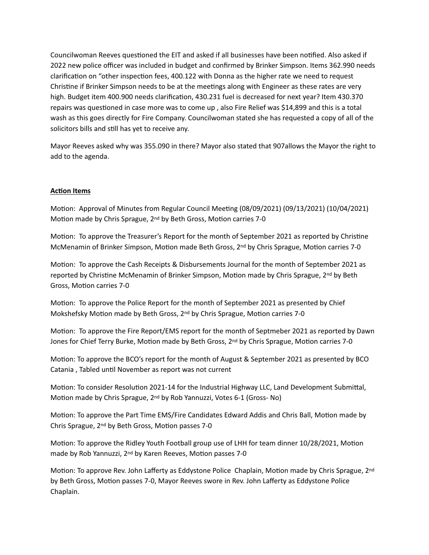Councilwoman Reeves questioned the EIT and asked if all businesses have been notified. Also asked if 2022 new police officer was included in budget and confirmed by Brinker Simpson. Items 362.990 needs clarification on "other inspection fees, 400.122 with Donna as the higher rate we need to request Christne if Brinker Simpson needs to be at the meetngs along with Engineer as these rates are very high. Budget item 400.900 needs clarificaton, 430.231 fuel is decreased for next year? Item 430.370 repairs was questoned in case more was to come up , also Fire Relief was \$14,899 and this is a total wash as this goes directly for Fire Company. Councilwoman stated she has requested a copy of all of the solicitors bills and still has yet to receive any.

Mayor Reeves asked why was 355.090 in there? Mayor also stated that 907allows the Mayor the right to add to the agenda.

# **Acton Items**

Motion: Approval of Minutes from Regular Council Meeting (08/09/2021) (09/13/2021) (10/04/2021) Motion made by Chris Sprague, 2<sup>nd</sup> by Beth Gross, Motion carries 7-0

Motion: To approve the Treasurer's Report for the month of September 2021 as reported by Christine McMenamin of Brinker Simpson, Motion made Beth Gross, 2<sup>nd</sup> by Chris Sprague, Motion carries 7-0

Motion: To approve the Cash Receipts & Disbursements Journal for the month of September 2021 as reported by Christine McMenamin of Brinker Simpson, Motion made by Chris Sprague, 2<sup>nd</sup> by Beth Gross, Motion carries 7-0

Motion: To approve the Police Report for the month of September 2021 as presented by Chief Mokshefsky Motion made by Beth Gross,  $2<sup>nd</sup>$  by Chris Sprague, Motion carries 7-0

Motion: To approve the Fire Report/EMS report for the month of Septmeber 2021 as reported by Dawn Jones for Chief Terry Burke, Motion made by Beth Gross, 2<sup>nd</sup> by Chris Sprague, Motion carries 7-0

Motion: To approve the BCO's report for the month of August & September 2021 as presented by BCO Catania, Tabled until November as report was not current

Motion: To consider Resolution 2021-14 for the Industrial Highway LLC, Land Development Submittal, Motion made by Chris Sprague, 2<sup>nd</sup> by Rob Yannuzzi, Votes 6-1 (Gross- No)

Motion: To approve the Part Time EMS/Fire Candidates Edward Addis and Chris Ball, Motion made by Chris Sprague, 2<sup>nd</sup> by Beth Gross, Motion passes 7-0

Motion: To approve the Ridley Youth Football group use of LHH for team dinner 10/28/2021, Motion made by Rob Yannuzzi, 2<sup>nd</sup> by Karen Reeves, Motion passes 7-0

Motion: To approve Rev. John Lafferty as Eddystone Police Chaplain, Motion made by Chris Sprague, 2nd by Beth Gross, Motion passes 7-0, Mayor Reeves swore in Rev. John Lafferty as Eddystone Police Chaplain.